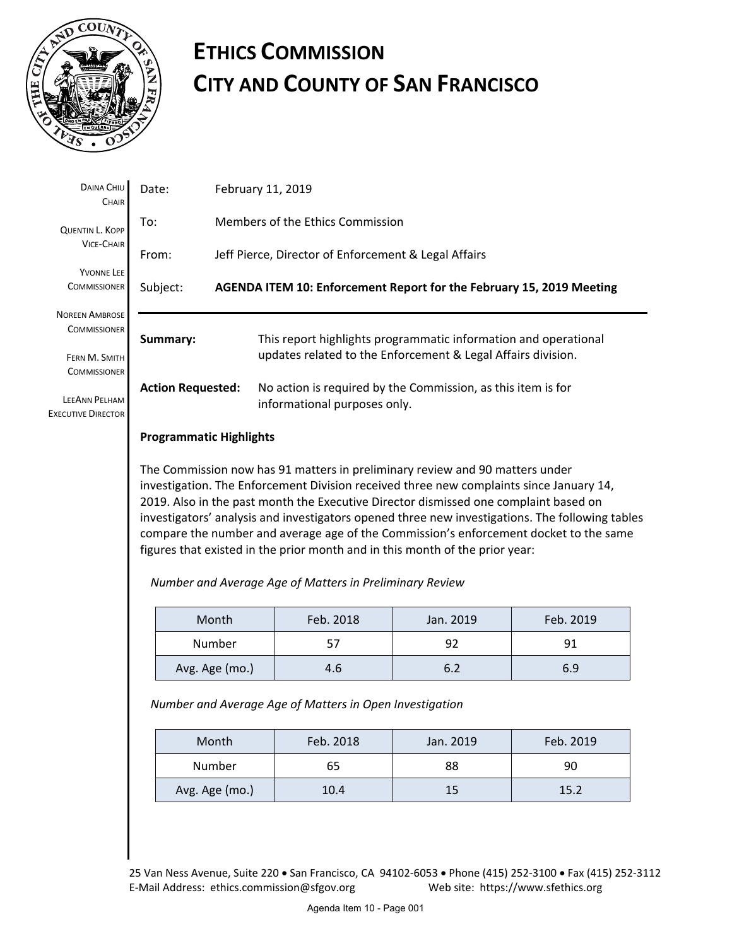

# **ETHICS COMMISSION CITY AND COUNTY OF SAN FRANCISCO**

| DAINA CHIU<br>CHAIR                               | Date:                                                                        | February 11, 2019                                                           |                                                                                                                                 |  |  |  |  |
|---------------------------------------------------|------------------------------------------------------------------------------|-----------------------------------------------------------------------------|---------------------------------------------------------------------------------------------------------------------------------|--|--|--|--|
| <b>QUENTIN L. KOPP</b>                            | To:                                                                          |                                                                             | Members of the Ethics Commission                                                                                                |  |  |  |  |
| <b>VICE-CHAIR</b>                                 | From:                                                                        | Jeff Pierce, Director of Enforcement & Legal Affairs                        |                                                                                                                                 |  |  |  |  |
| <b>YVONNE LEE</b><br><b>COMMISSIONER</b>          | Subject:                                                                     | <b>AGENDA ITEM 10: Enforcement Report for the February 15, 2019 Meeting</b> |                                                                                                                                 |  |  |  |  |
| <b>NOREEN AMBROSE</b><br><b>COMMISSIONER</b>      |                                                                              |                                                                             |                                                                                                                                 |  |  |  |  |
| FERN M. SMITH<br><b>COMMISSIONER</b>              | Summary:                                                                     |                                                                             | This report highlights programmatic information and operational<br>updates related to the Enforcement & Legal Affairs division. |  |  |  |  |
| <b>LEEANN PELHAM</b><br><b>EXECUTIVE DIRECTOR</b> | <b>Action Requested:</b>                                                     |                                                                             | No action is required by the Commission, as this item is for<br>informational purposes only.                                    |  |  |  |  |
|                                                   | <b>Programmatic Highlights</b>                                               |                                                                             |                                                                                                                                 |  |  |  |  |
|                                                   | The Commission now has 91 matters in preliminary review and 90 matters under |                                                                             |                                                                                                                                 |  |  |  |  |

investigation. The Enforcement Division received three new complaints since January 14, 2019. Also in the past month the Executive Director dismissed one complaint based on investigators' analysis and investigators opened three new investigations. The following tables compare the number and average age of the Commission's enforcement docket to the same figures that existed in the prior month and in this month of the prior year:

*Number and Average Age of Matters in Preliminary Review* 

| Month          | Feb. 2018 | Jan. 2019 | Feb. 2019 |  |
|----------------|-----------|-----------|-----------|--|
| Number         | 57        | 92        | 91        |  |
| Avg. Age (mo.) | 4.6       | 6.2       | 6.9       |  |

*Number and Average Age of Matters in Open Investigation* 

| Month          | Feb. 2018 | Jan. 2019 | Feb. 2019 |  |  |
|----------------|-----------|-----------|-----------|--|--|
| Number         | 65        | 88        | 90        |  |  |
| Avg. Age (mo.) | 10.4      | 15        | 15.2      |  |  |

25 Van Ness Avenue, Suite 220 · San Francisco, CA 94102-6053 · Phone (415) 252-3100 · Fax (415) 252-3112 E‐Mail Address: ethics.commission@sfgov.org Web site: https://www.sfethics.org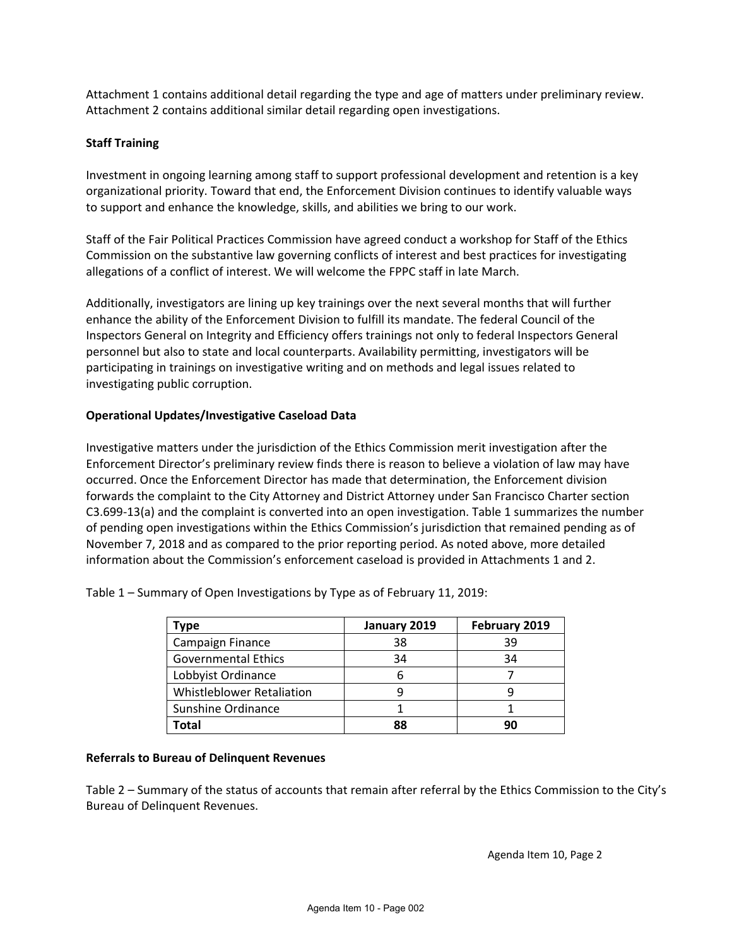Attachment 1 contains additional detail regarding the type and age of matters under preliminary review. Attachment 2 contains additional similar detail regarding open investigations.

## **Staff Training**

Investment in ongoing learning among staff to support professional development and retention is a key organizational priority. Toward that end, the Enforcement Division continues to identify valuable ways to support and enhance the knowledge, skills, and abilities we bring to our work.

Staff of the Fair Political Practices Commission have agreed conduct a workshop for Staff of the Ethics Commission on the substantive law governing conflicts of interest and best practices for investigating allegations of a conflict of interest. We will welcome the FPPC staff in late March.

Additionally, investigators are lining up key trainings over the next several months that will further enhance the ability of the Enforcement Division to fulfill its mandate. The federal Council of the Inspectors General on Integrity and Efficiency offers trainings not only to federal Inspectors General personnel but also to state and local counterparts. Availability permitting, investigators will be participating in trainings on investigative writing and on methods and legal issues related to investigating public corruption.

## **Operational Updates/Investigative Caseload Data**

Investigative matters under the jurisdiction of the Ethics Commission merit investigation after the Enforcement Director's preliminary review finds there is reason to believe a violation of law may have occurred. Once the Enforcement Director has made that determination, the Enforcement division forwards the complaint to the City Attorney and District Attorney under San Francisco Charter section C3.699-13(a) and the complaint is converted into an open investigation. Table 1 summarizes the number of pending open investigations within the Ethics Commission's jurisdiction that remained pending as of November 7, 2018 and as compared to the prior reporting period. As noted above, more detailed information about the Commission's enforcement caseload is provided in Attachments 1 and 2.

| Type                       | January 2019 | February 2019 |  |
|----------------------------|--------------|---------------|--|
| Campaign Finance           | 38           | 39            |  |
| <b>Governmental Ethics</b> | 34           | 34            |  |
| Lobbyist Ordinance         | n            |               |  |
| Whistleblower Retaliation  |              |               |  |
| Sunshine Ordinance         |              |               |  |
| Total                      | 88           | 90            |  |

Table 1 – Summary of Open Investigations by Type as of February 11, 2019:

#### **Referrals to Bureau of Delinquent Revenues**

Table 2 – Summary of the status of accounts that remain after referral by the Ethics Commission to the City's Bureau of Delinquent Revenues.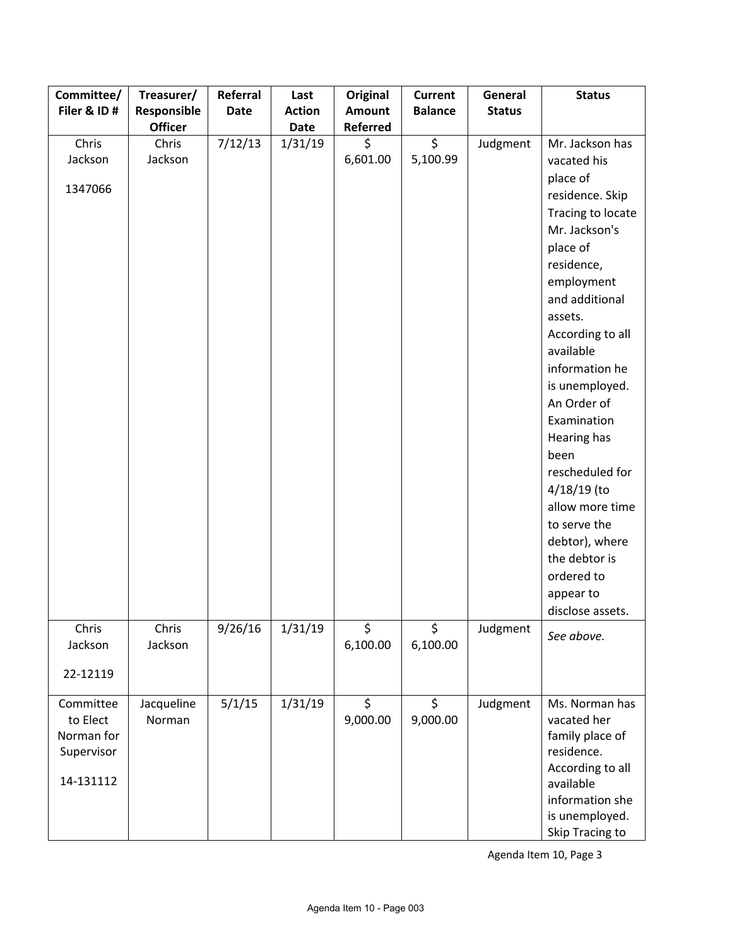| Committee/  | Treasurer/     | Referral    | Last          | <b>Original</b> | <b>Current</b> | General       | <b>Status</b>     |
|-------------|----------------|-------------|---------------|-----------------|----------------|---------------|-------------------|
| Filer & ID# | Responsible    | <b>Date</b> | <b>Action</b> | <b>Amount</b>   | <b>Balance</b> | <b>Status</b> |                   |
|             | <b>Officer</b> |             | <b>Date</b>   | <b>Referred</b> |                |               |                   |
| Chris       | Chris          | 7/12/13     | 1/31/19       | \$              | \$             | Judgment      | Mr. Jackson has   |
| Jackson     | Jackson        |             |               | 6,601.00        | 5,100.99       |               | vacated his       |
| 1347066     |                |             |               |                 |                |               | place of          |
|             |                |             |               |                 |                |               | residence. Skip   |
|             |                |             |               |                 |                |               | Tracing to locate |
|             |                |             |               |                 |                |               | Mr. Jackson's     |
|             |                |             |               |                 |                |               | place of          |
|             |                |             |               |                 |                |               | residence,        |
|             |                |             |               |                 |                |               | employment        |
|             |                |             |               |                 |                |               | and additional    |
|             |                |             |               |                 |                |               | assets.           |
|             |                |             |               |                 |                |               | According to all  |
|             |                |             |               |                 |                |               | available         |
|             |                |             |               |                 |                |               | information he    |
|             |                |             |               |                 |                |               | is unemployed.    |
|             |                |             |               |                 |                |               | An Order of       |
|             |                |             |               |                 |                |               | Examination       |
|             |                |             |               |                 |                |               | Hearing has       |
|             |                |             |               |                 |                |               | been              |
|             |                |             |               |                 |                |               | rescheduled for   |
|             |                |             |               |                 |                |               | $4/18/19$ (to     |
|             |                |             |               |                 |                |               | allow more time   |
|             |                |             |               |                 |                |               | to serve the      |
|             |                |             |               |                 |                |               | debtor), where    |
|             |                |             |               |                 |                |               | the debtor is     |
|             |                |             |               |                 |                |               | ordered to        |
|             |                |             |               |                 |                |               | appear to         |
|             |                |             |               |                 |                |               | disclose assets.  |
| Chris       | Chris          | 9/26/16     | 1/31/19       | \$              | \$             | Judgment      | See above.        |
| Jackson     | Jackson        |             |               | 6,100.00        | 6,100.00       |               |                   |
| 22-12119    |                |             |               |                 |                |               |                   |
|             |                |             |               |                 |                |               |                   |
| Committee   | Jacqueline     | 5/1/15      | 1/31/19       | \$              | \$             | Judgment      | Ms. Norman has    |
| to Elect    | Norman         |             |               | 9,000.00        | 9,000.00       |               | vacated her       |
| Norman for  |                |             |               |                 |                |               | family place of   |
| Supervisor  |                |             |               |                 |                |               | residence.        |
|             |                |             |               |                 |                |               | According to all  |
| 14-131112   |                |             |               |                 |                |               | available         |
|             |                |             |               |                 |                |               | information she   |
|             |                |             |               |                 |                |               | is unemployed.    |
|             |                |             |               |                 |                |               | Skip Tracing to   |

Agenda Item 10, Page 3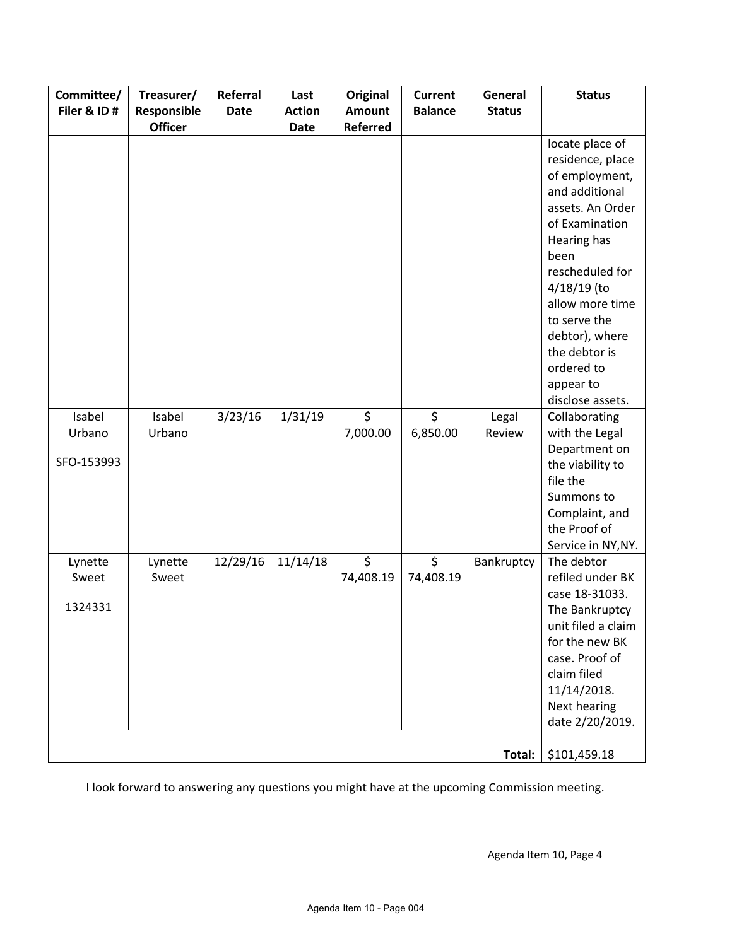| Committee/  | Treasurer/     | Referral    | Last          | <b>Original</b> | <b>Current</b> | General       | <b>Status</b>      |
|-------------|----------------|-------------|---------------|-----------------|----------------|---------------|--------------------|
| Filer & ID# | Responsible    | <b>Date</b> | <b>Action</b> | <b>Amount</b>   | <b>Balance</b> | <b>Status</b> |                    |
|             | <b>Officer</b> |             | <b>Date</b>   | Referred        |                |               |                    |
|             |                |             |               |                 |                |               | locate place of    |
|             |                |             |               |                 |                |               | residence, place   |
|             |                |             |               |                 |                |               | of employment,     |
|             |                |             |               |                 |                |               | and additional     |
|             |                |             |               |                 |                |               | assets. An Order   |
|             |                |             |               |                 |                |               | of Examination     |
|             |                |             |               |                 |                |               | Hearing has        |
|             |                |             |               |                 |                |               | been               |
|             |                |             |               |                 |                |               | rescheduled for    |
|             |                |             |               |                 |                |               | 4/18/19 (to        |
|             |                |             |               |                 |                |               | allow more time    |
|             |                |             |               |                 |                |               | to serve the       |
|             |                |             |               |                 |                |               | debtor), where     |
|             |                |             |               |                 |                |               | the debtor is      |
|             |                |             |               |                 |                |               | ordered to         |
|             |                |             |               |                 |                |               | appear to          |
|             |                |             |               |                 |                |               | disclose assets.   |
| Isabel      | Isabel         | 3/23/16     | 1/31/19       | \$              | \$             | Legal         | Collaborating      |
| Urbano      | Urbano         |             |               | 7,000.00        | 6,850.00       | Review        | with the Legal     |
|             |                |             |               |                 |                |               | Department on      |
| SFO-153993  |                |             |               |                 |                |               | the viability to   |
|             |                |             |               |                 |                |               | file the           |
|             |                |             |               |                 |                |               | Summons to         |
|             |                |             |               |                 |                |               | Complaint, and     |
|             |                |             |               |                 |                |               | the Proof of       |
|             |                |             |               |                 |                |               | Service in NY, NY. |
| Lynette     | Lynette        | 12/29/16    | 11/14/18      | \$              | $\zeta$        | Bankruptcy    | The debtor         |
| Sweet       | Sweet          |             |               | 74,408.19       | 74,408.19      |               | refiled under BK   |
|             |                |             |               |                 |                |               | case 18-31033.     |
| 1324331     |                |             |               |                 |                |               | The Bankruptcy     |
|             |                |             |               |                 |                |               | unit filed a claim |
|             |                |             |               |                 |                |               | for the new BK     |
|             |                |             |               |                 |                |               | case. Proof of     |
|             |                |             |               |                 |                |               | claim filed        |
|             |                |             |               |                 |                |               | 11/14/2018.        |
|             |                |             |               |                 |                |               | Next hearing       |
|             |                |             |               |                 |                |               | date 2/20/2019.    |
|             |                |             |               |                 |                |               |                    |
|             |                |             |               |                 |                | Total:        | \$101,459.18       |

I look forward to answering any questions you might have at the upcoming Commission meeting.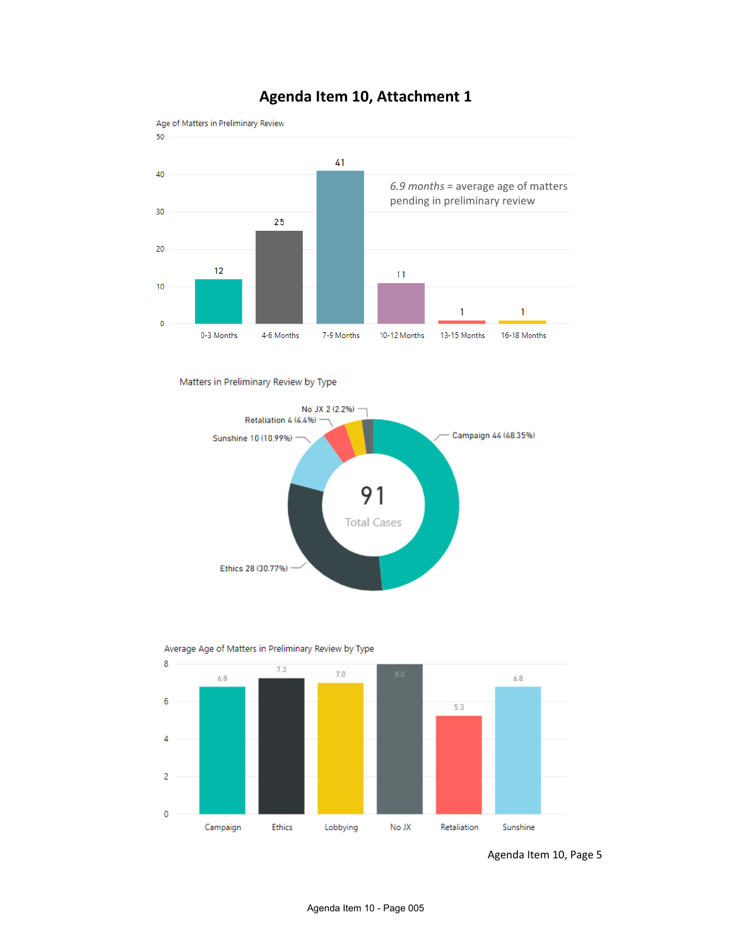

## **Agenda Item 10, Attachment 1**

Matters in Preliminary Review by Type





Average Age of Matters in Preliminary Review by Type

 Agenda Item 10, Page 5